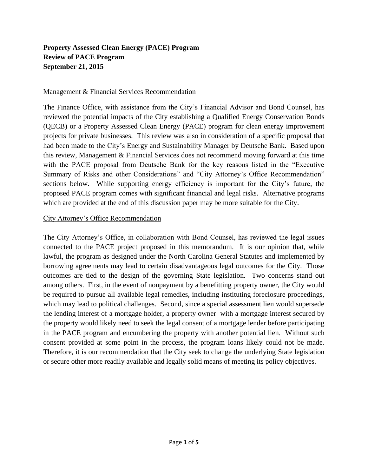# **Property Assessed Clean Energy (PACE) Program Review of PACE Program September 21, 2015**

#### Management & Financial Services Recommendation

The Finance Office, with assistance from the City's Financial Advisor and Bond Counsel, has reviewed the potential impacts of the City establishing a Qualified Energy Conservation Bonds (QECB) or a Property Assessed Clean Energy (PACE) program for clean energy improvement projects for private businesses. This review was also in consideration of a specific proposal that had been made to the City's Energy and Sustainability Manager by Deutsche Bank. Based upon this review, Management & Financial Services does not recommend moving forward at this time with the PACE proposal from Deutsche Bank for the key reasons listed in the "Executive Summary of Risks and other Considerations" and "City Attorney's Office Recommendation" sections below. While supporting energy efficiency is important for the City's future, the proposed PACE program comes with significant financial and legal risks. Alternative programs which are provided at the end of this discussion paper may be more suitable for the City.

#### City Attorney's Office Recommendation

The City Attorney's Office, in collaboration with Bond Counsel, has reviewed the legal issues connected to the PACE project proposed in this memorandum. It is our opinion that, while lawful, the program as designed under the North Carolina General Statutes and implemented by borrowing agreements may lead to certain disadvantageous legal outcomes for the City. Those outcomes are tied to the design of the governing State legislation. Two concerns stand out among others. First, in the event of nonpayment by a benefitting property owner, the City would be required to pursue all available legal remedies, including instituting foreclosure proceedings, which may lead to political challenges. Second, since a special assessment lien would supersede the lending interest of a mortgage holder, a property owner with a mortgage interest secured by the property would likely need to seek the legal consent of a mortgage lender before participating in the PACE program and encumbering the property with another potential lien. Without such consent provided at some point in the process, the program loans likely could not be made. Therefore, it is our recommendation that the City seek to change the underlying State legislation or secure other more readily available and legally solid means of meeting its policy objectives.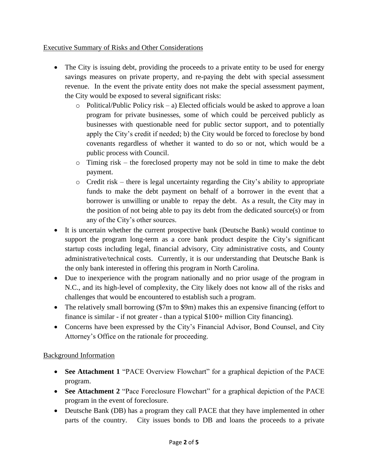# Executive Summary of Risks and Other Considerations

- The City is issuing debt, providing the proceeds to a private entity to be used for energy savings measures on private property, and re-paying the debt with special assessment revenue. In the event the private entity does not make the special assessment payment, the City would be exposed to several significant risks:
	- $\circ$  Political/Public Policy risk a) Elected officials would be asked to approve a loan program for private businesses, some of which could be perceived publicly as businesses with questionable need for public sector support, and to potentially apply the City's credit if needed; b) the City would be forced to foreclose by bond covenants regardless of whether it wanted to do so or not, which would be a public process with Council.
	- o Timing risk the foreclosed property may not be sold in time to make the debt payment.
	- o Credit risk there is legal uncertainty regarding the City's ability to appropriate funds to make the debt payment on behalf of a borrower in the event that a borrower is unwilling or unable to repay the debt. As a result, the City may in the position of not being able to pay its debt from the dedicated source(s) or from any of the City's other sources.
- It is uncertain whether the current prospective bank (Deutsche Bank) would continue to support the program long-term as a core bank product despite the City's significant startup costs including legal, financial advisory, City administrative costs, and County administrative/technical costs. Currently, it is our understanding that Deutsche Bank is the only bank interested in offering this program in North Carolina.
- Due to inexperience with the program nationally and no prior usage of the program in N.C., and its high-level of complexity, the City likely does not know all of the risks and challenges that would be encountered to establish such a program.
- The relatively small borrowing (\$7m to \$9m) makes this an expensive financing (effort to finance is similar - if not greater - than a typical \$100+ million City financing).
- Concerns have been expressed by the City's Financial Advisor, Bond Counsel, and City Attorney's Office on the rationale for proceeding.

# Background Information

- See Attachment 1 "PACE Overview Flowchart" for a graphical depiction of the PACE program.
- **See Attachment 2** "Pace Foreclosure Flowchart" for a graphical depiction of the PACE program in the event of foreclosure.
- Deutsche Bank (DB) has a program they call PACE that they have implemented in other parts of the country. City issues bonds to DB and loans the proceeds to a private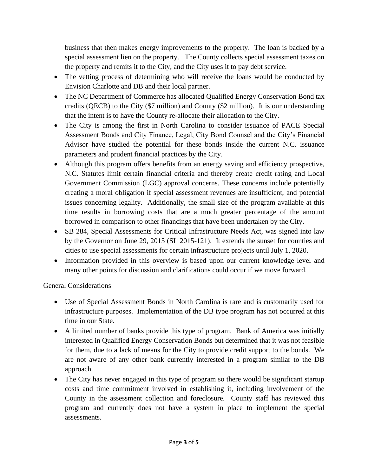business that then makes energy improvements to the property. The loan is backed by a special assessment lien on the property. The County collects special assessment taxes on the property and remits it to the City, and the City uses it to pay debt service.

- The vetting process of determining who will receive the loans would be conducted by Envision Charlotte and DB and their local partner.
- The NC Department of Commerce has allocated Qualified Energy Conservation Bond tax credits (QECB) to the City (\$7 million) and County (\$2 million). It is our understanding that the intent is to have the County re-allocate their allocation to the City.
- The City is among the first in North Carolina to consider issuance of PACE Special Assessment Bonds and City Finance, Legal, City Bond Counsel and the City's Financial Advisor have studied the potential for these bonds inside the current N.C. issuance parameters and prudent financial practices by the City.
- Although this program offers benefits from an energy saving and efficiency prospective, N.C. Statutes limit certain financial criteria and thereby create credit rating and Local Government Commission (LGC) approval concerns. These concerns include potentially creating a moral obligation if special assessment revenues are insufficient, and potential issues concerning legality. Additionally, the small size of the program available at this time results in borrowing costs that are a much greater percentage of the amount borrowed in comparison to other financings that have been undertaken by the City.
- SB 284, Special Assessments for Critical Infrastructure Needs Act, was signed into law by the Governor on June 29, 2015 (SL 2015-121). It extends the sunset for counties and cities to use special assessments for certain infrastructure projects until July 1, 2020.
- Information provided in this overview is based upon our current knowledge level and many other points for discussion and clarifications could occur if we move forward.

# General Considerations

- Use of Special Assessment Bonds in North Carolina is rare and is customarily used for infrastructure purposes. Implementation of the DB type program has not occurred at this time in our State.
- A limited number of banks provide this type of program. Bank of America was initially interested in Qualified Energy Conservation Bonds but determined that it was not feasible for them, due to a lack of means for the City to provide credit support to the bonds. We are not aware of any other bank currently interested in a program similar to the DB approach.
- The City has never engaged in this type of program so there would be significant startup costs and time commitment involved in establishing it, including involvement of the County in the assessment collection and foreclosure. County staff has reviewed this program and currently does not have a system in place to implement the special assessments.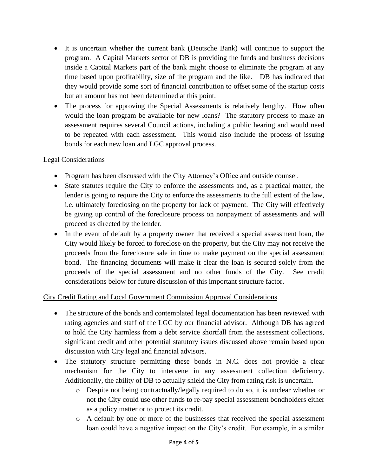- It is uncertain whether the current bank (Deutsche Bank) will continue to support the program. A Capital Markets sector of DB is providing the funds and business decisions inside a Capital Markets part of the bank might choose to eliminate the program at any time based upon profitability, size of the program and the like. DB has indicated that they would provide some sort of financial contribution to offset some of the startup costs but an amount has not been determined at this point.
- The process for approving the Special Assessments is relatively lengthy. How often would the loan program be available for new loans? The statutory process to make an assessment requires several Council actions, including a public hearing and would need to be repeated with each assessment. This would also include the process of issuing bonds for each new loan and LGC approval process.

#### Legal Considerations

- Program has been discussed with the City Attorney's Office and outside counsel.
- State statutes require the City to enforce the assessments and, as a practical matter, the lender is going to require the City to enforce the assessments to the full extent of the law, i.e. ultimately foreclosing on the property for lack of payment. The City will effectively be giving up control of the foreclosure process on nonpayment of assessments and will proceed as directed by the lender.
- In the event of default by a property owner that received a special assessment loan, the City would likely be forced to foreclose on the property, but the City may not receive the proceeds from the foreclosure sale in time to make payment on the special assessment bond. The financing documents will make it clear the loan is secured solely from the proceeds of the special assessment and no other funds of the City. See credit considerations below for future discussion of this important structure factor.

# City Credit Rating and Local Government Commission Approval Considerations

- The structure of the bonds and contemplated legal documentation has been reviewed with rating agencies and staff of the LGC by our financial advisor. Although DB has agreed to hold the City harmless from a debt service shortfall from the assessment collections, significant credit and other potential statutory issues discussed above remain based upon discussion with City legal and financial advisors.
- The statutory structure permitting these bonds in N.C. does not provide a clear mechanism for the City to intervene in any assessment collection deficiency. Additionally, the ability of DB to actually shield the City from rating risk is uncertain.
	- o Despite not being contractually/legally required to do so, it is unclear whether or not the City could use other funds to re-pay special assessment bondholders either as a policy matter or to protect its credit.
	- o A default by one or more of the businesses that received the special assessment loan could have a negative impact on the City's credit. For example, in a similar